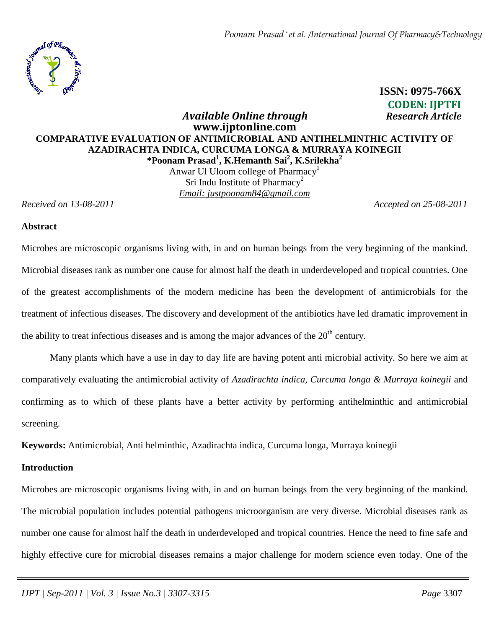

# **ISSN: 0975-766X CODEN: IJPTFI**   *Available Online through Research Article*

## **www.ijptonline.com COMPARATIVE EVALUATION OF ANTIMICROBIAL AND ANTIHELMINTHIC ACTIVITY OF AZADIRACHTA INDICA, CURCUMA LONGA & MURRAYA KOINEGII \*Poonam Prasad<sup>1</sup> , K.Hemanth Sai<sup>2</sup> , K.Srilekha<sup>2</sup>**

Anwar Ul Uloom college of Pharmacy<sup>1</sup> Sri Indu Institute of Pharmacy<sup>2</sup> *Email: justpoonam84@gmail.com*

*Received on 13-08-2011 Accepted on 25-08-2011*

#### **Abstract**

Microbes are microscopic organisms living with, in and on human beings from the very beginning of the mankind. Microbial diseases rank as number one cause for almost half the death in underdeveloped and tropical countries. One of the greatest accomplishments of the modern medicine has been the development of antimicrobials for the treatment of infectious diseases. The discovery and development of the antibiotics have led dramatic improvement in the ability to treat infectious diseases and is among the major advances of the  $20<sup>th</sup>$  century.

Many plants which have a use in day to day life are having potent anti microbial activity. So here we aim at comparatively evaluating the antimicrobial activity of *Azadirachta indica, Curcuma longa & Murraya koinegii* and confirming as to which of these plants have a better activity by performing antihelminthic and antimicrobial screening.

**Keywords:** Antimicrobial, Anti helminthic, Azadirachta indica, Curcuma longa, Murraya koinegii

#### **Introduction**

Microbes are microscopic organisms living with, in and on human beings from the very beginning of the mankind. The microbial population includes potential pathogens microorganism are very diverse. Microbial diseases rank as number one cause for almost half the death in underdeveloped and tropical countries. Hence the need to fine safe and highly effective cure for microbial diseases remains a major challenge for modern science even today. One of the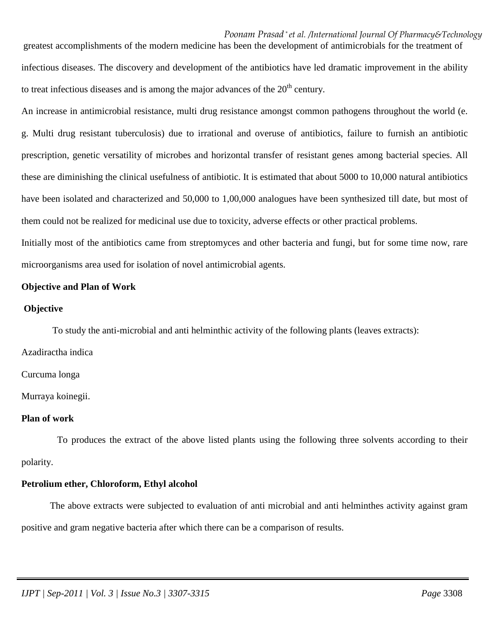*Poonam Prasad \* et al. /International Journal Of Pharmacy&Technology* greatest accomplishments of the modern medicine has been the development of antimicrobials for the treatment of infectious diseases. The discovery and development of the antibiotics have led dramatic improvement in the ability to treat infectious diseases and is among the major advances of the  $20<sup>th</sup>$  century.

An increase in antimicrobial resistance, multi drug resistance amongst common pathogens throughout the world (e. g. Multi drug resistant tuberculosis) due to irrational and overuse of antibiotics, failure to furnish an antibiotic prescription, genetic versatility of microbes and horizontal transfer of resistant genes among bacterial species. All these are diminishing the clinical usefulness of antibiotic. It is estimated that about 5000 to 10,000 natural antibiotics have been isolated and characterized and 50,000 to 1,00,000 analogues have been synthesized till date, but most of them could not be realized for medicinal use due to toxicity, adverse effects or other practical problems.

Initially most of the antibiotics came from streptomyces and other bacteria and fungi, but for some time now, rare microorganisms area used for isolation of novel antimicrobial agents.

#### **Objective and Plan of Work**

#### **Objective**

To study the anti-microbial and anti helminthic activity of the following plants (leaves extracts):

Azadiractha indica

Curcuma longa

Murraya koinegii.

#### **Plan of work**

 To produces the extract of the above listed plants using the following three solvents according to their polarity.

#### **Petrolium ether, Chloroform, Ethyl alcohol**

The above extracts were subjected to evaluation of anti microbial and anti helminthes activity against gram positive and gram negative bacteria after which there can be a comparison of results.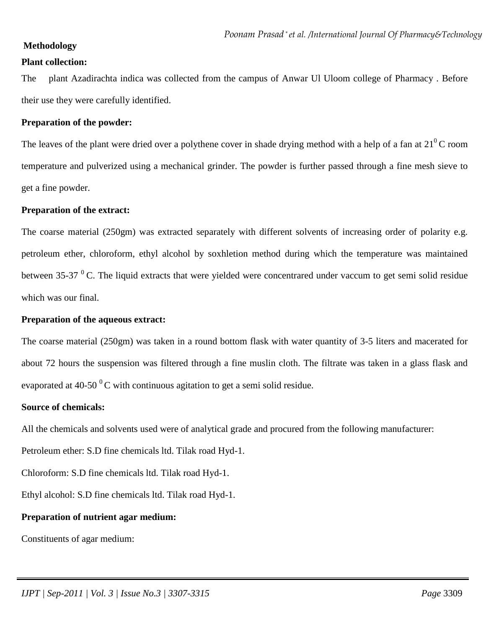#### **Methodology**

#### **Plant collection:**

The plant Azadirachta indica was collected from the campus of Anwar Ul Uloom college of Pharmacy . Before their use they were carefully identified.

#### **Preparation of the powder:**

The leaves of the plant were dried over a polythene cover in shade drying method with a help of a fan at  $21^0$ C room temperature and pulverized using a mechanical grinder. The powder is further passed through a fine mesh sieve to get a fine powder.

#### **Preparation of the extract:**

The coarse material (250gm) was extracted separately with different solvents of increasing order of polarity e.g. petroleum ether, chloroform, ethyl alcohol by soxhletion method during which the temperature was maintained between 35-37 $^{0}$ C. The liquid extracts that were yielded were concentrared under vaccum to get semi solid residue which was our final.

## **Preparation of the aqueous extract:**

The coarse material (250gm) was taken in a round bottom flask with water quantity of 3-5 liters and macerated for about 72 hours the suspension was filtered through a fine muslin cloth. The filtrate was taken in a glass flask and evaporated at 40-50  $^{0}$ C with continuous agitation to get a semi solid residue.

#### **Source of chemicals:**

All the chemicals and solvents used were of analytical grade and procured from the following manufacturer:

Petroleum ether: S.D fine chemicals ltd. Tilak road Hyd-1.

Chloroform: S.D fine chemicals ltd. Tilak road Hyd-1.

Ethyl alcohol: S.D fine chemicals ltd. Tilak road Hyd-1.

## **Preparation of nutrient agar medium:**

Constituents of agar medium: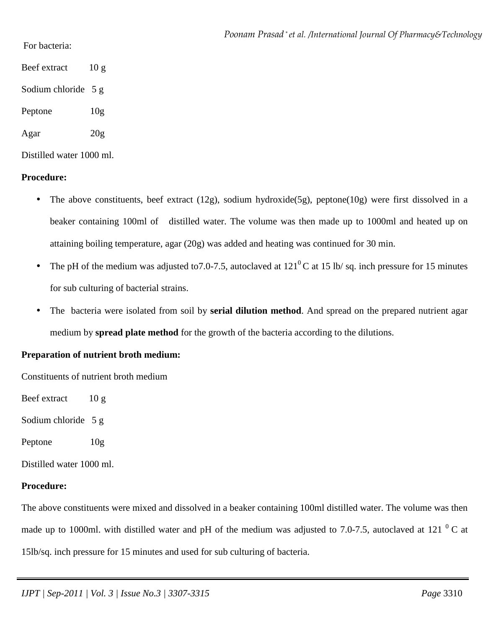For bacteria:

Beef extract 10 g

Sodium chloride 5 g

Peptone 10g

Agar 20g

Distilled water 1000 ml.

## **Procedure:**

- The above constituents, beef extract  $(12g)$ , sodium hydroxide(5g), peptone(10g) were first dissolved in a beaker containing 100ml of distilled water. The volume was then made up to 1000ml and heated up on attaining boiling temperature, agar (20g) was added and heating was continued for 30 min.
- The pH of the medium was adjusted to 7.0-7.5, autoclaved at  $121^{\circ}$ C at 15 lb/ sq. inch pressure for 15 minutes for sub culturing of bacterial strains.
- The bacteria were isolated from soil by **serial dilution method**. And spread on the prepared nutrient agar medium by **spread plate method** for the growth of the bacteria according to the dilutions.

## **Preparation of nutrient broth medium:**

Constituents of nutrient broth medium

Beef extract 10 g

Sodium chloride 5 g

Peptone 10g

Distilled water 1000 ml.

## **Procedure:**

The above constituents were mixed and dissolved in a beaker containing 100ml distilled water. The volume was then made up to 1000ml. with distilled water and pH of the medium was adjusted to 7.0-7.5, autoclaved at 121 $^{0}$ C at 15lb/sq. inch pressure for 15 minutes and used for sub culturing of bacteria.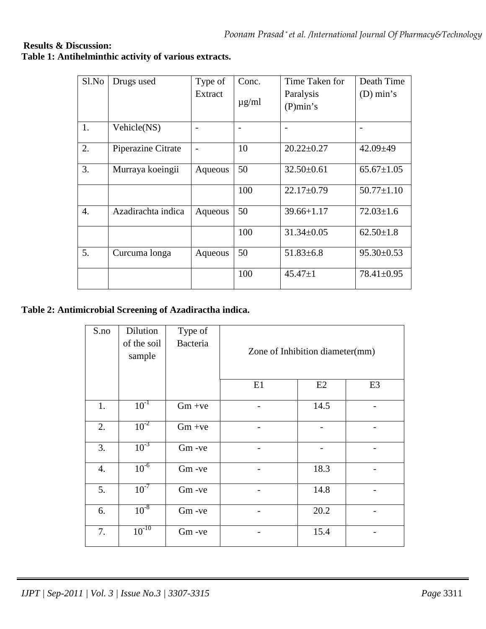## **Results & Discussion: Table 1: Antihelminthic activity of various extracts.**

| Sl.No | Drugs used         | Type of | Conc.      | Time Taken for   | Death Time       |
|-------|--------------------|---------|------------|------------------|------------------|
|       |                    | Extract |            | Paralysis        | $(D)$ min's      |
|       |                    |         | $\mu$ g/ml | (P)min's         |                  |
| 1.    | Vehicle(NS)        |         |            |                  |                  |
| 2.    | Piperazine Citrate |         | 10         | $20.22 \pm 0.27$ | $42.09 \pm 49$   |
| 3.    | Murraya koeingii   | Aqueous | 50         | $32.50 \pm 0.61$ | $65.67 \pm 1.05$ |
|       |                    |         | 100        | $22.17 \pm 0.79$ | $50.77 \pm 1.10$ |
| 4.    | Azadirachta indica | Aqueous | 50         | $39.66 + 1.17$   | $72.03 \pm 1.6$  |
|       |                    |         | 100        | $31.34 \pm 0.05$ | $62.50 \pm 1.8$  |
| 5.    | Curcuma longa      | Aqueous | 50         | $51.83\pm 6.8$   | $95.30 \pm 0.53$ |
|       |                    |         | 100        | $45.47 \pm 1$    | $78.41 \pm 0.95$ |

## **Table 2: Antimicrobial Screening of Azadiractha indica.**

| S.no | Dilution<br>of the soil<br>sample | Type of<br><b>Bacteria</b> | Zone of Inhibition diameter(mm) |      |                |
|------|-----------------------------------|----------------------------|---------------------------------|------|----------------|
|      |                                   |                            | E1                              | E2   | E <sub>3</sub> |
| 1.   | $10^{-1}$                         | $Gm +ve$                   |                                 | 14.5 |                |
| 2.   | $10^{-2}$                         | $Gm +ve$                   |                                 |      |                |
| 3.   | $10^{-3}$                         | Gm-ve                      |                                 |      |                |
| 4.   | $10^{-6}$                         | Gm-ve                      |                                 | 18.3 |                |
| 5.   | $10^{-7}$                         | Gm-ve                      |                                 | 14.8 |                |
| 6.   | $10^{-8}$                         | Gm-ve                      |                                 | 20.2 |                |
| 7.   | $10^{-10}$                        | Gm-ve                      |                                 | 15.4 |                |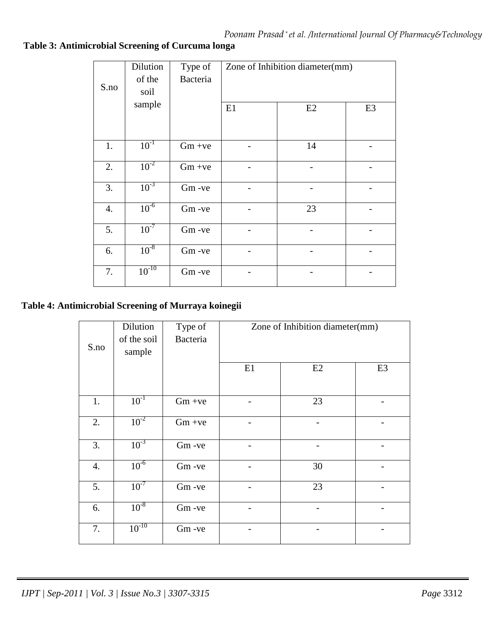# **Table 3: Antimicrobial Screening of Curcuma longa**

| S.no | Dilution<br>of the<br>soil | Type of<br>Bacteria | Zone of Inhibition diameter(mm) |    |                |
|------|----------------------------|---------------------|---------------------------------|----|----------------|
|      | sample                     |                     | E1                              | E2 | E <sub>3</sub> |
| 1.   | $10^{-1}$                  | $Gm +ve$            |                                 | 14 |                |
| 2.   | $10^{-2}$                  | $Gm +ve$            |                                 |    |                |
| 3.   | $10^{-3}$                  | Gm-ve               |                                 |    |                |
| 4.   | $10^{-6}$                  | Gm-ve               |                                 | 23 |                |
| 5.   | $10^{-7}$                  | Gm-ve               |                                 |    |                |
| 6.   | $10^{-8}$                  | Gm-ve               |                                 |    |                |
| 7.   | $10^{-10}$                 | Gm-ve               |                                 |    |                |

# **Table 4: Antimicrobial Screening of Murraya koinegii**

| S.no | Dilution<br>of the soil<br>sample | Type of<br>Bacteria | Zone of Inhibition diameter(mm) |    |                |
|------|-----------------------------------|---------------------|---------------------------------|----|----------------|
|      |                                   |                     | E1                              | E2 | E <sub>3</sub> |
| 1.   | $10^{-1}$                         | $Gm +ve$            |                                 | 23 |                |
| 2.   | $10^{-2}$                         | $Gm +ve$            |                                 |    |                |
| 3.   | $10^{-3}$                         | Gm-ve               |                                 |    |                |
| 4.   | $10^{-6}$                         | Gm-ve               |                                 | 30 |                |
| 5.   | $10^{-7}$                         | Gm-ve               |                                 | 23 |                |
| 6.   | $10^{-8}$                         | Gm-ve               |                                 |    |                |
| 7.   | $10^{-10}$                        | Gm-ve               |                                 |    |                |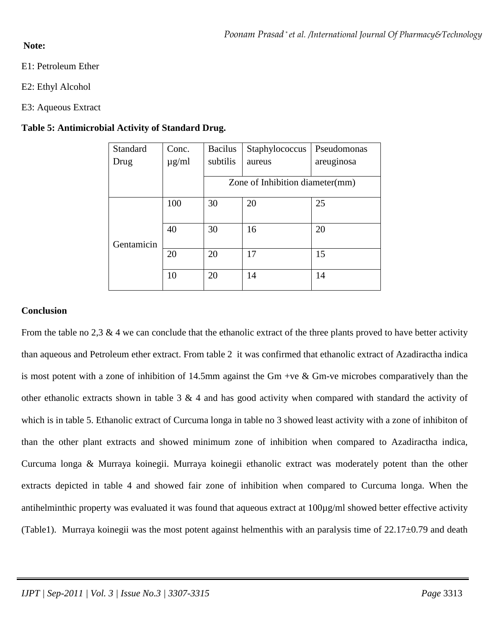## **Note:**

- E1: Petroleum Ether
- E2: Ethyl Alcohol
- E3: Aqueous Extract

## **Table 5: Antimicrobial Activity of Standard Drug.**

| Standard   | Conc.                           | <b>Bacilus</b> | Staphylococcus | Pseudomonas |
|------------|---------------------------------|----------------|----------------|-------------|
| Drug       | $\mu$ g/ml                      | subtilis       | aureus         | areuginosa  |
|            |                                 |                |                |             |
|            | Zone of Inhibition diameter(mm) |                |                |             |
|            | 100                             | 30             | 20             | 25          |
| Gentamicin | 40                              | 30             | 16             | 20          |
|            | 20                              | 20             | 17             | 15          |
|            | 10                              | 20             | 14             | 14          |

## **Conclusion**

From the table no 2,3  $\&$  4 we can conclude that the ethanolic extract of the three plants proved to have better activity than aqueous and Petroleum ether extract. From table 2 it was confirmed that ethanolic extract of Azadiractha indica is most potent with a zone of inhibition of 14.5mm against the Gm +ve & Gm-ve microbes comparatively than the other ethanolic extracts shown in table 3  $\&$  4 and has good activity when compared with standard the activity of which is in table 5. Ethanolic extract of Curcuma longa in table no 3 showed least activity with a zone of inhibiton of than the other plant extracts and showed minimum zone of inhibition when compared to Azadiractha indica, Curcuma longa & Murraya koinegii. Murraya koinegii ethanolic extract was moderately potent than the other extracts depicted in table 4 and showed fair zone of inhibition when compared to Curcuma longa. When the antihelminthic property was evaluated it was found that aqueous extract at 100µg/ml showed better effective activity (Table1). Murraya koinegii was the most potent against helmenthis with an paralysis time of  $22.17\pm0.79$  and death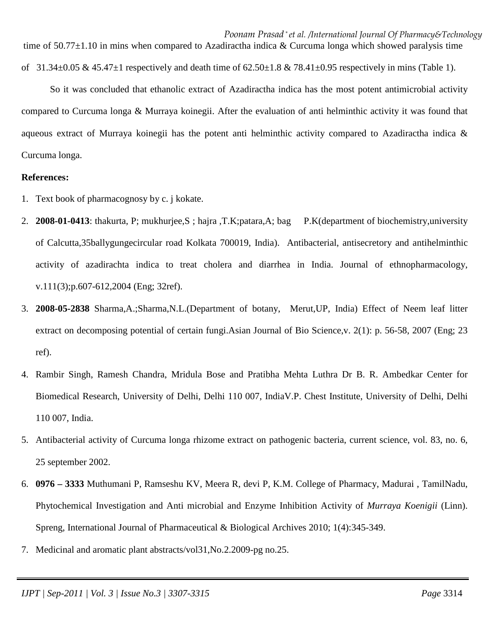So it was concluded that ethanolic extract of Azadiractha indica has the most potent antimicrobial activity compared to Curcuma longa & Murraya koinegii. After the evaluation of anti helminthic activity it was found that aqueous extract of Murraya koinegii has the potent anti helminthic activity compared to Azadiractha indica & Curcuma longa.

#### **References:**

- 1. Text book of pharmacognosy by c. j kokate.
- 2. **2008-01-0413**: thakurta, P; mukhurjee,S ; hajra ,T.K;patara,A; bag P.K(department of biochemistry,university of Calcutta,35ballygungecircular road Kolkata 700019, India). Antibacterial, antisecretory and antihelminthic activity of azadirachta indica to treat cholera and diarrhea in India. Journal of ethnopharmacology, v.111(3);p.607-612,2004 (Eng; 32ref).
- 3. **2008-05-2838** Sharma,A.;Sharma,N.L.(Department of botany, Merut,UP, India) Effect of Neem leaf litter extract on decomposing potential of certain fungi.Asian Journal of Bio Science, v. 2(1): p. 56-58, 2007 (Eng; 23 ref).
- 4. Rambir Singh, Ramesh Chandra, Mridula Bose and Pratibha Mehta Luthra Dr B. R. Ambedkar Center for Biomedical Research, University of Delhi, Delhi 110 007, IndiaV.P. Chest Institute, University of Delhi, Delhi 110 007, India.
- 5. Antibacterial activity of Curcuma longa rhizome extract on pathogenic bacteria, current science, vol. 83, no. 6, 25 september 2002.
- 6. **0976 3333** Muthumani P, Ramseshu KV, Meera R, devi P, K.M. College of Pharmacy, Madurai , TamilNadu, Phytochemical Investigation and Anti microbial and Enzyme Inhibition Activity of *Murraya Koenigii* (Linn). Spreng, International Journal of Pharmaceutical & Biological Archives 2010; 1(4):345-349.
- 7. Medicinal and aromatic plant abstracts/vol31,No.2.2009-pg no.25.